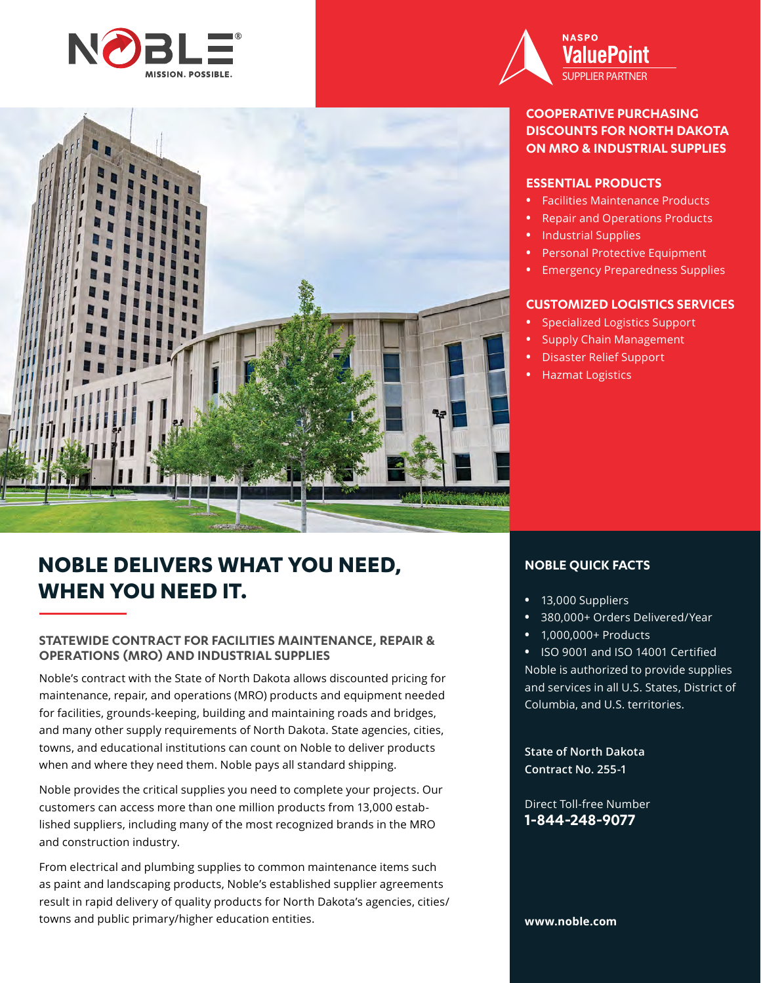



# **NOBLE DELIVERS WHAT YOU NEED, WHEN YOU NEED IT.**

#### **STATEWIDE CONTRACT FOR FACILITIES MAINTENANCE, REPAIR & OPERATIONS (MRO) AND INDUSTRIAL SUPPLIES**

Noble's contract with the State of North Dakota allows discounted pricing for maintenance, repair, and operations (MRO) products and equipment needed for facilities, grounds-keeping, building and maintaining roads and bridges, and many other supply requirements of North Dakota. State agencies, cities, towns, and educational institutions can count on Noble to deliver products when and where they need them. Noble pays all standard shipping.

Noble provides the critical supplies you need to complete your projects. Our customers can access more than one million products from 13,000 established suppliers, including many of the most recognized brands in the MRO and construction industry.

From electrical and plumbing supplies to common maintenance items such as paint and landscaping products, Noble's established supplier agreements result in rapid delivery of quality products for North Dakota's agencies, cities/ towns and public primary/higher education entities.



### **COOPERATIVE PURCHASING DISCOUNTS FOR NORTH DAKOTA ON MRO & INDUSTRIAL SUPPLIES**

#### **ESSENTIAL PRODUCTS**

- **•** Facilities Maintenance Products
- **•** Repair and Operations Products
- **•** Industrial Supplies
- **•** Personal Protective Equipment
- **•** Emergency Preparedness Supplies

### **CUSTOMIZED LOGISTICS SERVICES**

- **•** Specialized Logistics Support
- **•** Supply Chain Management
- **•** Disaster Relief Support
- **•** Hazmat Logistics

### **NOBLE QUICK FACTS**

- **•** 13,000 Suppliers
- **•** 380,000+ Orders Delivered/Year
- **•** 1,000,000+ Products

**•** ISO 9001 and ISO 14001 Certified Noble is authorized to provide supplies and services in all U.S. States, District of Columbia, and U.S. territories.

**State of North Dakota Contract No. 255-1**

Direct Toll-free Number **1-844-248-9077**

**www.noble.com**